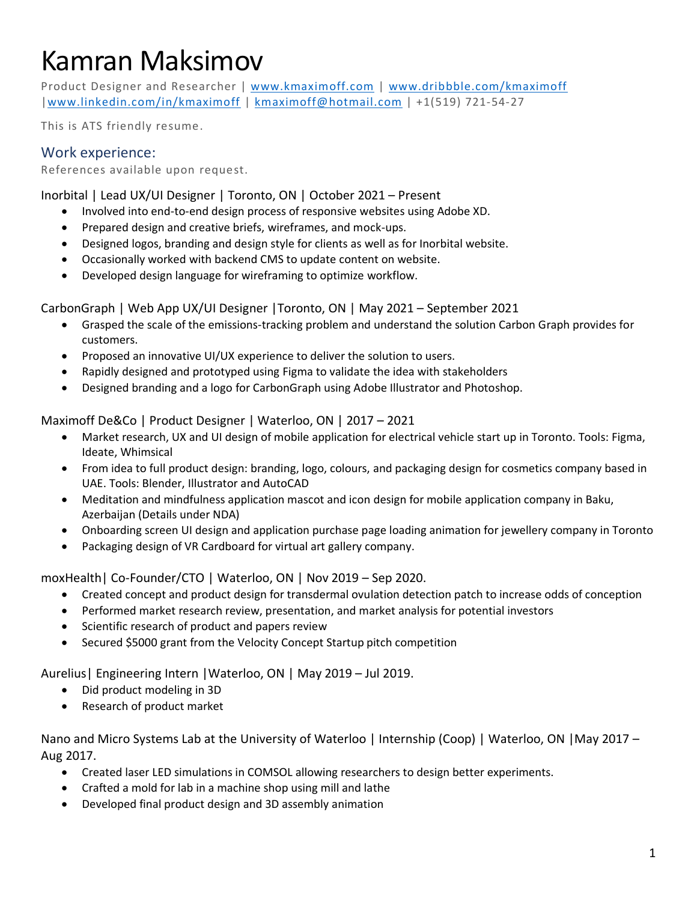# Kamran Maksimov

Product Designer and Researcher | [www.kmaximoff.com](http://www.kmaximoff.com/) | [www.dribbble.com/kmaximoff](http://www.dribbble.com/kmaximoff) [|www.linkedin.com/in/kmaximoff](http://www.linkedin.com/in/kmaximoff) | [kmaximoff@hotmail.com](mailto:kmaximoff@hotmail.com) | +1(519) 721-54-27

This is ATS friendly resume.

# Work experience:

References available upon request.

Inorbital | Lead UX/UI Designer | Toronto, ON | October 2021 – Present

- Involved into end-to-end design process of responsive websites using Adobe XD.
- Prepared design and creative briefs, wireframes, and mock-ups.
- Designed logos, branding and design style for clients as well as for Inorbital website.
- Occasionally worked with backend CMS to update content on website.
- Developed design language for wireframing to optimize workflow.

CarbonGraph | Web App UX/UI Designer |Toronto, ON | May 2021 – September 2021

- Grasped the scale of the emissions-tracking problem and understand the solution Carbon Graph provides for customers.
- Proposed an innovative UI/UX experience to deliver the solution to users.
- Rapidly designed and prototyped using Figma to validate the idea with stakeholders
- Designed branding and a logo for CarbonGraph using Adobe Illustrator and Photoshop.

Maximoff De&Co | Product Designer | Waterloo, ON | 2017 – 2021

- Market research, UX and UI design of mobile application for electrical vehicle start up in Toronto. Tools: Figma, Ideate, Whimsical
- From idea to full product design: branding, logo, colours, and packaging design for cosmetics company based in UAE. Tools: Blender, Illustrator and AutoCAD
- Meditation and mindfulness application mascot and icon design for mobile application company in Baku, Azerbaijan (Details under NDA)
- Onboarding screen UI design and application purchase page loading animation for jewellery company in Toronto
- Packaging design of VR Cardboard for virtual art gallery company.

moxHealth| Co-Founder/CTO | Waterloo, ON | Nov 2019 – Sep 2020.

- Created concept and product design for transdermal ovulation detection patch to increase odds of conception
- Performed market research review, presentation, and market analysis for potential investors
- Scientific research of product and papers review
- Secured \$5000 grant from the Velocity Concept Startup pitch competition

Aurelius| Engineering Intern |Waterloo, ON | May 2019 – Jul 2019.

- Did product modeling in 3D
- Research of product market

Nano and Micro Systems Lab at the University of Waterloo | Internship (Coop) | Waterloo, ON | May 2017 – Aug 2017.

- Created laser LED simulations in COMSOL allowing researchers to design better experiments.
- Crafted a mold for lab in a machine shop using mill and lathe
- Developed final product design and 3D assembly animation